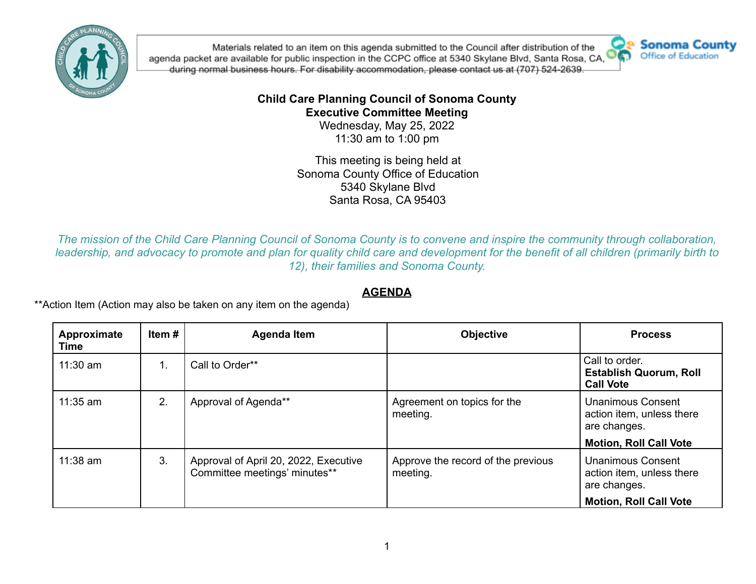

Materials related to an item on this agenda submitted to the Council after distribution of the agenda packet are available for public inspection in the CCPC office at 5340 Skylane Blvd, Santa Rosa, CA, during normal business hours. For disability accommodation, please contact us at (707) 524-2639.



## **Child Care Planning Council of Sonoma County Executive Committee Meeting**

Wednesday, May 25, 2022 11:30 am to 1:00 pm

This meeting is being held at Sonoma County Office of Education 5340 Skylane Blvd Santa Rosa, CA 95403

*The mission of the Child Care Planning Council of Sonoma County is to convene and inspire the community through collaboration, leadership, and advocacy to promote and plan for quality child care and development for the benefit of all children (primarily birth to 12), their families and Sonoma County.*

## **AGENDA**

\*\*Action Item (Action may also be taken on any item on the agenda)

| Approximate<br>Time | Item # | <b>Agenda Item</b>                                                     | <b>Objective</b>                               | <b>Process</b>                                                        |
|---------------------|--------|------------------------------------------------------------------------|------------------------------------------------|-----------------------------------------------------------------------|
| $11:30$ am          | 1.     | Call to Order**                                                        |                                                | Call to order.<br><b>Establish Quorum, Roll</b><br><b>Call Vote</b>   |
| $11:35$ am          | 2.     | Approval of Agenda**                                                   | Agreement on topics for the<br>meeting.        | <b>Unanimous Consent</b><br>action item, unless there<br>are changes. |
|                     |        |                                                                        |                                                | <b>Motion, Roll Call Vote</b>                                         |
| $11:38$ am          | 3.     | Approval of April 20, 2022, Executive<br>Committee meetings' minutes** | Approve the record of the previous<br>meeting. | <b>Unanimous Consent</b><br>action item, unless there<br>are changes. |
|                     |        |                                                                        |                                                | <b>Motion, Roll Call Vote</b>                                         |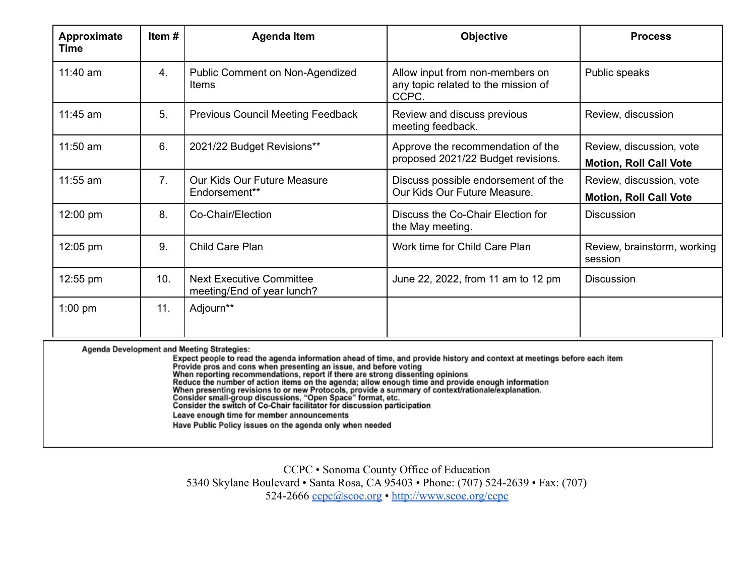| Approximate<br>Time | Item#          | <b>Agenda Item</b>                                            | <b>Objective</b>                                                                | <b>Process</b>                                            |
|---------------------|----------------|---------------------------------------------------------------|---------------------------------------------------------------------------------|-----------------------------------------------------------|
| $11:40$ am          | 4.             | <b>Public Comment on Non-Agendized</b><br><b>Items</b>        | Allow input from non-members on<br>any topic related to the mission of<br>CCPC. | Public speaks                                             |
| $11:45$ am          | 5.             | <b>Previous Council Meeting Feedback</b>                      | Review and discuss previous<br>meeting feedback.                                | Review, discussion                                        |
| $11:50$ am          | 6.             | 2021/22 Budget Revisions**                                    | Approve the recommendation of the<br>proposed 2021/22 Budget revisions.         | Review, discussion, vote<br><b>Motion, Roll Call Vote</b> |
| $11:55$ am          | 7 <sub>1</sub> | Our Kids Our Future Measure<br>Endorsement**                  | Discuss possible endorsement of the<br>Our Kids Our Future Measure.             | Review, discussion, vote<br><b>Motion, Roll Call Vote</b> |
| $12:00 \text{ pm}$  | 8.             | Co-Chair/Election                                             | Discuss the Co-Chair Election for<br>the May meeting.                           | <b>Discussion</b>                                         |
| $12:05 \text{ pm}$  | 9.             | Child Care Plan                                               | Work time for Child Care Plan                                                   | Review, brainstorm, working<br>session                    |
| 12:55 pm            | 10.            | <b>Next Executive Committee</b><br>meeting/End of year lunch? | June 22, 2022, from 11 am to 12 pm                                              | <b>Discussion</b>                                         |
| $1:00$ pm           | 11.            | Adjourn**                                                     |                                                                                 |                                                           |

Agenda Development and Meeting Strategies:

In the agent point of the agenda information ahead of time, and provide history and context at meetings before each item<br>Frovide pros and cons when presenting an issue, and before voting<br>Provide pros and commendations, rep Leave enough time for member announcements Have Public Policy issues on the agenda only when needed

CCPC • Sonoma County Office of Education 5340 Skylane Boulevard • Santa Rosa, CA 95403 • Phone: (707) 524-2639 • Fax: (707) 524-2666 [ccpc@scoe.org](mailto:ccpc@scoe.org) • <http://www.scoe.org/ccpc>